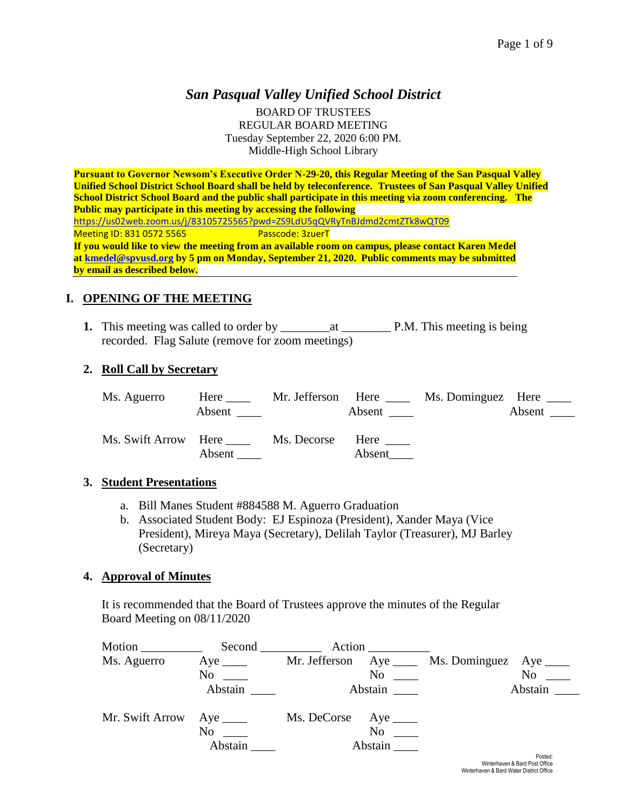# *San Pasqual Valley Unified School District*

BOARD OF TRUSTEES REGULAR BOARD MEETING Tuesday September 22, 2020 6:00 PM. Middle-High School Library

**Pursuant to Governor Newsom's Executive Order N-29-20, this Regular Meeting of the San Pasqual Valley Unified School District School Board shall be held by teleconference. Trustees of San Pasqual Valley Unified School District School Board and the public shall participate in this meeting via zoom conferencing. The Public may participate in this meeting by accessing the following**  <https://us02web.zoom.us/j/83105725565?pwd=ZS9LdU5qQVRyTnBJdmd2cmtZTk8wQT09><br>Meeting ID: 831 0572 5565 Passcode: 3zuerT Meeting ID: 831 <mark>Passcode: 3zuerT</mark> **If you would like to view the meeting from an available room on campus, please contact Karen Medel a[t kmedel@spvusd.org](mailto:kmedel@spvusd.org) by 5 pm on Monday, September 21, 2020. Public comments may be submitted by email as described below.** 

## **I. OPENING OF THE MEETING**

**1.** This meeting was called to order by \_\_\_\_\_\_\_\_at \_\_\_\_\_\_\_\_ P.M. This meeting is being recorded. Flag Salute (remove for zoom meetings)

## **2. Roll Call by Secretary**

| Ms. Aguerro                | Here<br>Absent | Mr. Jefferson Here | Absent         | Ms. Dominguez Here _____ | Absent |
|----------------------------|----------------|--------------------|----------------|--------------------------|--------|
| Ms. Swift Arrow Here _____ | Absent         | Ms. Decorse        | Here<br>Absent |                          |        |

### **3. Student Presentations**

- a. Bill Manes Student #884588 M. Aguerro Graduation
- b. Associated Student Body: EJ Espinoza (President), Xander Maya (Vice President), Mireya Maya (Secretary), Delilah Taylor (Treasurer), MJ Barley (Secretary)

### **4. Approval of Minutes**

It is recommended that the Board of Trustees approve the minutes of the Regular Board Meeting on 08/11/2020

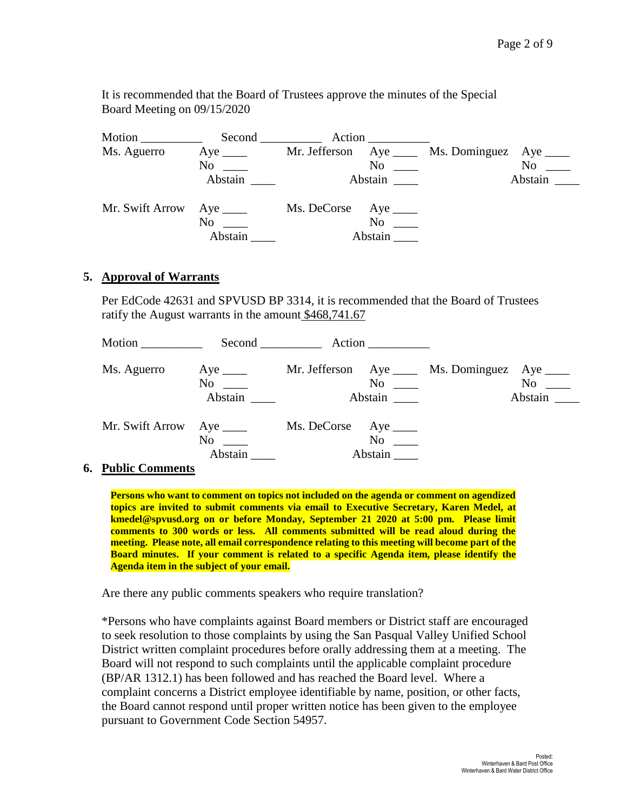It is recommended that the Board of Trustees approve the minutes of the Special Board Meeting on 09/15/2020

| Motion $\_\_$   |                     | Action                              |                         |
|-----------------|---------------------|-------------------------------------|-------------------------|
| Ms. Aguerro     | Aye $\_\_\_\_\_\_\$ | Mr. Jefferson $Aye$ <sub>____</sub> | Ms. Dominguez Aye _____ |
|                 | No                  | No                                  | No                      |
|                 | Abstain             | Abstain                             | Abstain $\qquad$        |
| Mr. Swift Arrow | Aye $\_\_\_\_\$     | Ms. DeCorse Aye ______              |                         |
|                 | N <sub>o</sub>      | N <sub>0</sub>                      |                         |
|                 | Abstain             | Abstain                             |                         |

### **5. Approval of Warrants**

Per EdCode 42631 and SPVUSD BP 3314, it is recommended that the Board of Trustees ratify the August warrants in the amount \$468,741.67

| Motion          |                                    | Second Action                                          |                                  |
|-----------------|------------------------------------|--------------------------------------------------------|----------------------------------|
| Ms. Aguerro     | Aye $\_\_\_\_\_\$<br>No<br>Abstain | Mr. Jefferson Aye _____ Ms. Dominguez<br>No<br>Abstain | Aye $\_\_\_\_\$<br>No<br>Abstain |
| Mr. Swift Arrow | Aye $\_\_\_\_\_\$<br>No<br>Abstain | Ms. DeCorse Aye ______<br>No<br>Abstain                |                                  |

#### **6. Public Comments**

**Persons who want to comment on topics not included on the agenda or comment on agendized topics are invited to submit comments via email to Executive Secretary, Karen Medel, at kmedel@spvusd.org on or before Monday, September 21 2020 at 5:00 pm. Please limit comments to 300 words or less. All comments submitted will be read aloud during the meeting. Please note, all email correspondence relating to this meeting will become part of the Board minutes. If your comment is related to a specific Agenda item, please identify the Agenda item in the subject of your email.**

Are there any public comments speakers who require translation?

\*Persons who have complaints against Board members or District staff are encouraged to seek resolution to those complaints by using the San Pasqual Valley Unified School District written complaint procedures before orally addressing them at a meeting. The Board will not respond to such complaints until the applicable complaint procedure (BP/AR 1312.1) has been followed and has reached the Board level. Where a complaint concerns a District employee identifiable by name, position, or other facts, the Board cannot respond until proper written notice has been given to the employee pursuant to Government Code Section 54957.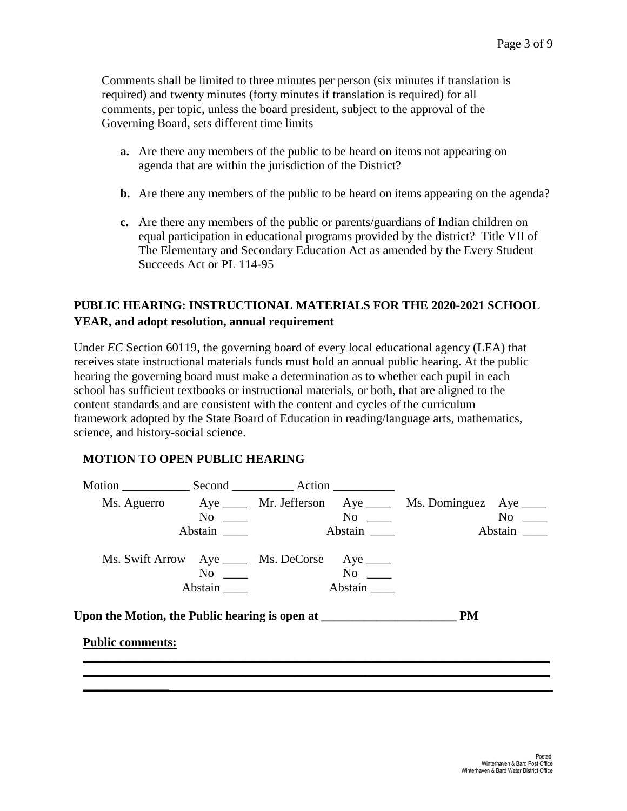Comments shall be limited to three minutes per person (six minutes if translation is required) and twenty minutes (forty minutes if translation is required) for all comments, per topic, unless the board president, subject to the approval of the Governing Board, sets different time limits

- **a.** Are there any members of the public to be heard on items not appearing on agenda that are within the jurisdiction of the District?
- **b.** Are there any members of the public to be heard on items appearing on the agenda?
- **c.** Are there any members of the public or parents/guardians of Indian children on equal participation in educational programs provided by the district? Title VII of The Elementary and Secondary Education Act as amended by the Every Student Succeeds Act or PL 114-95

# **PUBLIC HEARING: INSTRUCTIONAL MATERIALS FOR THE 2020-2021 SCHOOL YEAR, and adopt resolution, annual requirement**

Under *EC* Section 60119, the governing board of every local educational agency (LEA) that receives state instructional materials funds must hold an annual public hearing. At the public hearing the governing board must make a determination as to whether each pupil in each school has sufficient textbooks or instructional materials, or both, that are aligned to the content standards and are consistent with the content and cycles of the curriculum framework adopted by the State Board of Education in reading/language arts, mathematics, science, and history-social science.

## **MOTION TO OPEN PUBLIC HEARING**

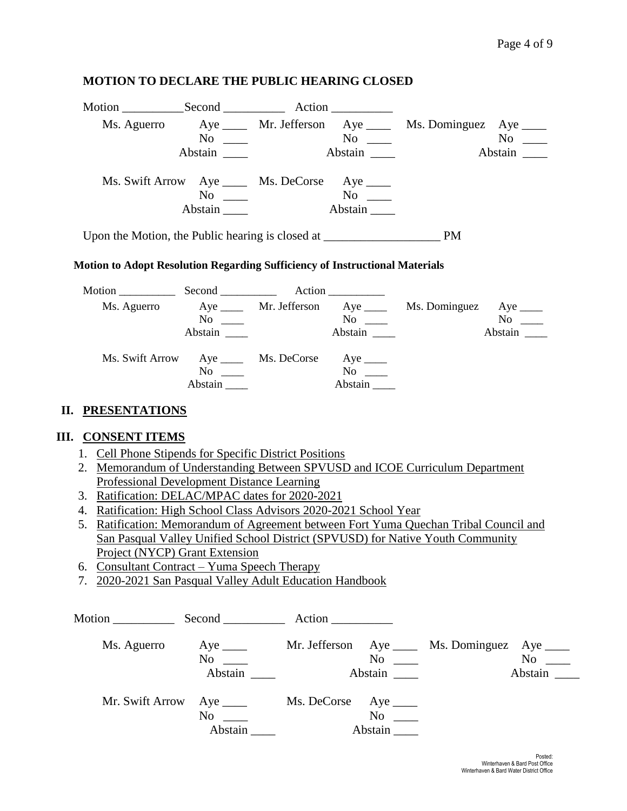### **MOTION TO DECLARE THE PUBLIC HEARING CLOSED**

| Motion                                                                             |         | Second Action                                  |            |                         |                |
|------------------------------------------------------------------------------------|---------|------------------------------------------------|------------|-------------------------|----------------|
|                                                                                    |         | Ms. Aguerro Aye _____ Mr. Jefferson Aye ____   |            | Ms. Dominguez Aye _____ |                |
|                                                                                    | No      |                                                | $No \ \_$  |                         | N <sub>0</sub> |
|                                                                                    | Abstain |                                                | Abstain __ |                         | Abstain        |
|                                                                                    |         | Ms. Swift Arrow Aye _____ Ms. DeCorse Aye ____ |            |                         |                |
|                                                                                    | No      |                                                | No         |                         |                |
|                                                                                    | Abstain |                                                | Abstain    |                         |                |
| Upon the Motion, the Public hearing is closed at ________________________________  |         |                                                |            | <b>PM</b>               |                |
| <b>Motion to Adopt Resolution Regarding Sufficiency of Instructional Materials</b> |         |                                                |            |                         |                |

# Motion \_\_\_\_\_\_\_\_\_\_ Second \_\_\_\_\_\_\_\_\_\_ Action \_\_\_\_\_\_\_\_\_\_ Ms. Aguerro Aye \_\_\_\_ Mr. Jefferson Aye \_\_\_\_ Ms. Dominguez Aye \_\_\_\_ No \_\_\_ No \_\_ No \_\_ No \_\_ No \_\_ Abstain \_\_\_\_ Abstain \_\_\_ Abstain \_\_\_ Abstain \_\_\_ Ms. Swift Arrow Aye \_\_\_\_ Ms. DeCorse Aye \_\_\_\_\_<br>No \_\_\_\_\_ Ms. DeCorse Aye \_\_\_\_\_ No \_\_\_\_\_<br>Abstain Abstain \_\_\_\_ Abstain \_\_\_\_

### **II. PRESENTATIONS**

## **III. CONSENT ITEMS**

- 1. Cell Phone Stipends for Specific District Positions
- 2. Memorandum of Understanding Between SPVUSD and ICOE Curriculum Department Professional Development Distance Learning
- 3. Ratification: DELAC/MPAC dates for 2020-2021
- 4. Ratification: High School Class Advisors 2020-2021 School Year
- 5. Ratification: Memorandum of Agreement between Fort Yuma Quechan Tribal Council and San Pasqual Valley Unified School District (SPVUSD) for Native Youth Community Project (NYCP) Grant Extension
- 6. Consultant Contract Yuma Speech Therapy
- 7. 2020-2021 San Pasqual Valley Adult Education Handbook

| Motion          | $Second$ <sub>_____________</sub>       | Action __________      |               |                                               |                   |
|-----------------|-----------------------------------------|------------------------|---------------|-----------------------------------------------|-------------------|
| Ms. Aguerro     | Aye $\_\_$<br>N <sub>0</sub><br>Abstain |                        | No<br>Abstain | Mr. Jefferson Aye ____ Ms. Dominguez Aye ____ | No not<br>Abstain |
| Mr. Swift Arrow | No<br>Abstain                           | Ms. DeCorse Aye ______ | No<br>Abstain |                                               |                   |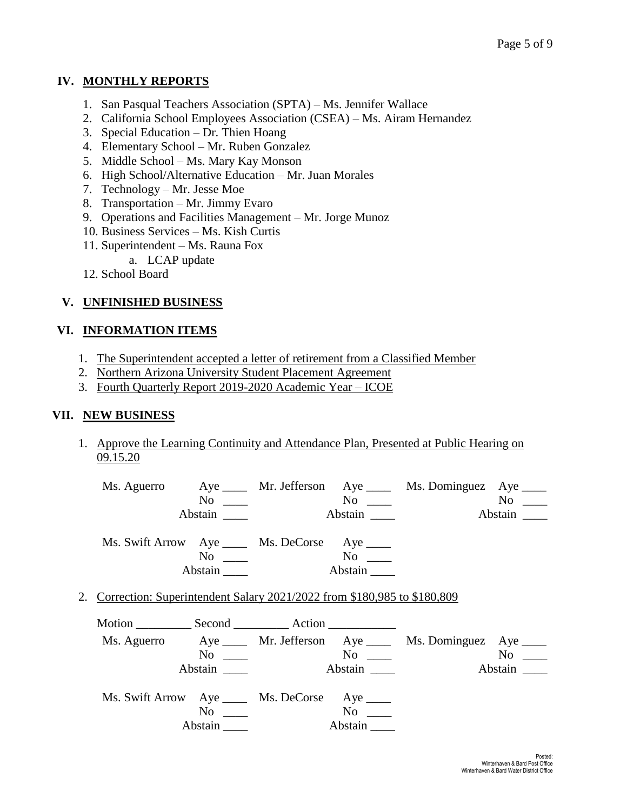## **IV. MONTHLY REPORTS**

- 1. San Pasqual Teachers Association (SPTA) Ms. Jennifer Wallace
- 2. California School Employees Association (CSEA) Ms. Airam Hernandez
- 3. Special Education Dr. Thien Hoang
- 4. Elementary School Mr. Ruben Gonzalez
- 5. Middle School Ms. Mary Kay Monson
- 6. High School/Alternative Education Mr. Juan Morales
- 7. Technology Mr. Jesse Moe
- 8. Transportation Mr. Jimmy Evaro
- 9. Operations and Facilities Management Mr. Jorge Munoz
- 10. Business Services Ms. Kish Curtis
- 11. Superintendent Ms. Rauna Fox
	- a. LCAP update
- 12. School Board

# **V. UNFINISHED BUSINESS**

## **VI. INFORMATION ITEMS**

- 1. The Superintendent accepted a letter of retirement from a Classified Member
- 2. Northern Arizona University Student Placement Agreement
- 3. Fourth Quarterly Report 2019-2020 Academic Year ICOE

## **VII. NEW BUSINESS**

1. Approve the Learning Continuity and Attendance Plan, Presented at Public Hearing on 09.15.20

| Ms. Aguerro |                                 |                                                |                         | Aye _____ Mr. Jefferson Aye ____ Ms. Dominguez Aye ____ |                |
|-------------|---------------------------------|------------------------------------------------|-------------------------|---------------------------------------------------------|----------------|
|             | No.<br>$\overline{\phantom{a}}$ |                                                | $\mathrm{No} \ \_\_\_\$ |                                                         | N <sub>0</sub> |
|             | Abstain                         |                                                | Abstain                 |                                                         | Abstain        |
|             |                                 |                                                |                         |                                                         |                |
|             |                                 | Ms. Swift Arrow Aye _____ Ms. DeCorse Aye ____ |                         |                                                         |                |
|             | No                              |                                                | No                      |                                                         |                |
|             | Abstain                         |                                                | Abstain                 |                                                         |                |

2. Correction: Superintendent Salary 2021/2022 from \$180,985 to \$180,809

| Ms. Aguerro |         |                                                |                      | Aye ______ Mr. Jefferson Aye _____ Ms. Dominguez Aye _____ |                |
|-------------|---------|------------------------------------------------|----------------------|------------------------------------------------------------|----------------|
|             | No      |                                                | $\mathrm{No}$ $\_\_$ |                                                            | N <sub>0</sub> |
|             | Abstain |                                                | Abstain              |                                                            | Abstain        |
|             |         | Ms. Swift Arrow Aye _____ Ms. DeCorse Aye ____ |                      |                                                            |                |
|             | No      |                                                | $No \t —$            |                                                            |                |
|             |         |                                                | Abstain              |                                                            |                |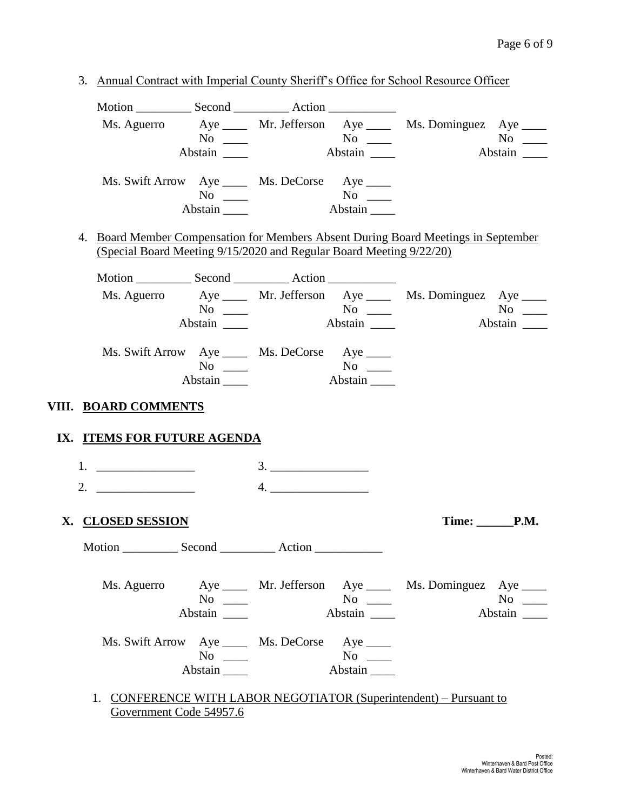|                                                                                  |                                                                     |                                            |           | Ms. Aguerro Aye _____ Mr. Jefferson Aye ____ Ms. Dominguez Aye ____                        |
|----------------------------------------------------------------------------------|---------------------------------------------------------------------|--------------------------------------------|-----------|--------------------------------------------------------------------------------------------|
|                                                                                  | $No \_$                                                             |                                            |           | $No \ \_$                                                                                  |
|                                                                                  | Abstain ______                                                      |                                            | Abstain   | Abstain                                                                                    |
|                                                                                  | Ms. Swift Arrow Aye _____ Ms. DeCorse Aye ____                      |                                            |           |                                                                                            |
|                                                                                  |                                                                     | No<br>Stain No<br>Abstain No<br>Abstain No |           |                                                                                            |
|                                                                                  | Abstain                                                             |                                            |           |                                                                                            |
|                                                                                  |                                                                     |                                            |           | 4. Board Member Compensation for Members Absent During Board Meetings in September         |
|                                                                                  | (Special Board Meeting 9/15/2020 and Regular Board Meeting 9/22/20) |                                            |           |                                                                                            |
|                                                                                  |                                                                     |                                            |           |                                                                                            |
|                                                                                  |                                                                     |                                            |           | Ms. Aguerro Aye ____ Mr. Jefferson Aye ____ Ms. Dominguez Aye ____                         |
|                                                                                  | $No \ \_$<br>Abstain _______                                        |                                            | Abstain   | $No \ \_$<br>Abstain                                                                       |
|                                                                                  |                                                                     |                                            |           |                                                                                            |
|                                                                                  | Ms. Swift Arrow Aye _____ Ms. DeCorse Aye ____                      |                                            |           |                                                                                            |
|                                                                                  | $No \_$                                                             |                                            |           |                                                                                            |
|                                                                                  | Abstain _______                                                     |                                            | Abstain   |                                                                                            |
| VIII. BOARD COMMENTS                                                             |                                                                     |                                            |           |                                                                                            |
| IX. ITEMS FOR FUTURE AGENDA                                                      |                                                                     |                                            |           |                                                                                            |
|                                                                                  |                                                                     |                                            |           |                                                                                            |
| 2. $\qquad \qquad$                                                               |                                                                     | 4.                                         |           |                                                                                            |
| X. CLOSED SESSION                                                                |                                                                     |                                            |           |                                                                                            |
| Motion ________________ Second ________________ Action _________________________ |                                                                     |                                            |           |                                                                                            |
| Ms. Aguerro                                                                      |                                                                     |                                            |           |                                                                                            |
|                                                                                  | $No \ \_$                                                           |                                            |           | Time: ________P.M.<br>Aye _____ Mr. Jefferson Aye ____ Ms. Dominguez Aye ____<br>$No \ \_$ |
|                                                                                  |                                                                     |                                            | Abstain   | Abstain                                                                                    |
|                                                                                  |                                                                     |                                            |           |                                                                                            |
|                                                                                  | Ms. Swift Arrow Aye _____ Ms. DeCorse Aye ____<br>$No \ \_$         |                                            | $No \ \_$ |                                                                                            |

1. CONFERENCE WITH LABOR NEGOTIATOR (Superintendent) – Pursuant to Government Code 54957.6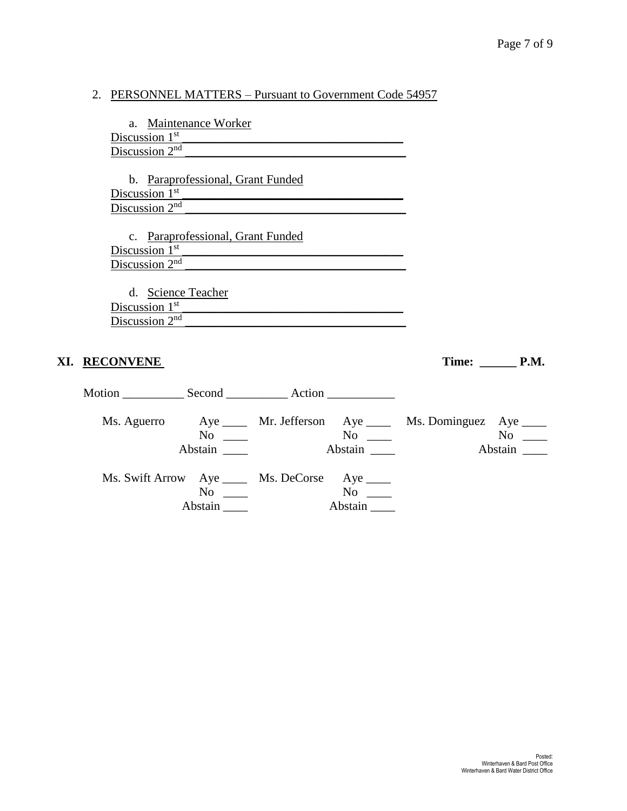# 2. PERSONNEL MATTERS – Pursuant to Government Code 54957

| a. Maintenance Worker                                              |                              |
|--------------------------------------------------------------------|------------------------------|
| Discussion $1st$                                                   |                              |
| Discussion $2nd$                                                   |                              |
|                                                                    |                              |
| b. Paraprofessional, Grant Funded                                  |                              |
| Discussion $1st$                                                   |                              |
| Discussion $2nd$                                                   |                              |
|                                                                    |                              |
| c. Paraprofessional, Grant Funded                                  |                              |
| Discussion 1 <sup>st</sup>                                         |                              |
| Discussion $2nd$                                                   |                              |
|                                                                    |                              |
| d. Science Teacher                                                 |                              |
| Discussion 1 <sup>st</sup>                                         |                              |
| Discussion $2nd$                                                   |                              |
|                                                                    |                              |
|                                                                    |                              |
| XI. RECONVENE                                                      | Time: $\_\_\_\_\_\_\_\$ P.M. |
|                                                                    |                              |
|                                                                    |                              |
|                                                                    |                              |
| Ms. Aguerro Aye ____ Mr. Jefferson Aye ____ Ms. Dominguez Aye ____ |                              |
| $No \ \_$                                                          |                              |
| Abstain<br>Abstain                                                 |                              |
|                                                                    | Abstain                      |
|                                                                    |                              |
| Ms. Swift Arrow Aye _____ Ms. DeCorse Aye ____                     |                              |
| $No \ \_$<br>$No \t —$                                             |                              |
| Abstain<br>Abstain                                                 |                              |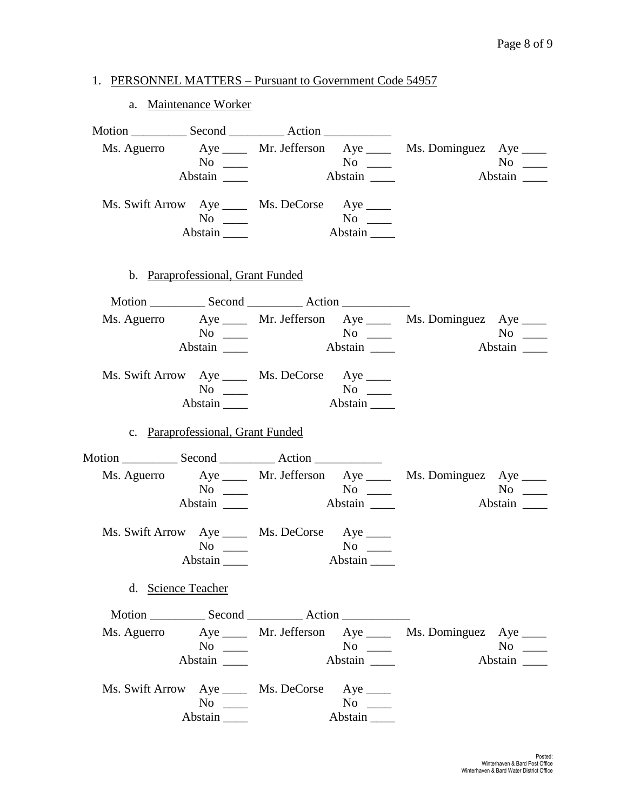### 1. PERSONNEL MATTERS – Pursuant to Government Code 54957

#### a. Maintenance Worker

Motion Second Action Ms. Aguerro Aye \_\_\_\_ Mr. Jefferson Aye \_\_\_\_ Ms. Dominguez Aye \_\_\_\_ No \_\_\_ No \_\_ No \_\_ No \_\_ No \_\_ Abstain \_\_\_\_ Abstain \_\_\_ Abstain \_\_\_ Abstain \_\_\_ Ms. Swift Arrow Aye \_\_\_\_ Ms. DeCorse Aye \_\_\_\_ No \_\_\_ No \_\_ Abstain **Abstain** Abstain **Abstain** b. Paraprofessional, Grant Funded Motion Second Action Ms. Aguerro Aye \_\_\_\_ Mr. Jefferson Aye \_\_\_\_ Ms. Dominguez Aye \_\_\_\_ No \_\_\_ No \_\_\_ No \_\_\_ No \_\_\_ Abstain \_\_\_\_ Abstain \_\_\_ Abstain \_\_\_ Abstain \_\_\_ Ms. Swift Arrow Aye \_\_\_\_ Ms. DeCorse Aye \_\_\_\_ No \_\_\_ No \_\_ Abstain \_\_\_\_\_ Abstain \_\_\_\_ c. Paraprofessional, Grant Funded Motion \_\_\_\_\_\_\_\_\_\_\_\_ Second \_\_\_\_\_\_\_\_\_\_\_\_\_ Action \_\_\_\_\_\_\_\_\_\_\_\_\_\_\_\_\_\_\_\_\_\_\_\_\_\_\_\_\_\_\_\_ Ms. Aguerro Aye \_\_\_\_ Mr. Jefferson Aye \_\_\_\_ Ms. Dominguez Aye \_\_\_\_ No \_\_\_ No \_\_ No \_\_ No \_\_ No \_\_ Abstain \_\_\_\_ Abstain \_\_\_ Abstain \_\_\_ Abstain \_\_\_ Ms. Swift Arrow Aye \_\_\_\_ Ms. DeCorse Aye \_\_\_\_ No \_\_\_\_ No \_\_\_\_ Abstain \_\_\_\_ Abstain \_\_\_\_ d. Science Teacher Motion Second Action Ms. Aguerro Aye \_\_\_\_ Mr. Jefferson Aye \_\_\_\_ Ms. Dominguez Aye \_\_\_\_ No \_\_\_ No \_\_ No \_\_ No \_\_ No \_\_ Abstain \_\_\_\_ Abstain \_\_\_ Abstain \_\_\_ Abstain \_\_\_ Ms. Swift Arrow Aye \_\_\_\_ Ms. DeCorse Aye \_\_\_\_ No \_\_\_\_ No \_\_\_ Abstain \_\_\_\_ Abstain \_\_\_\_